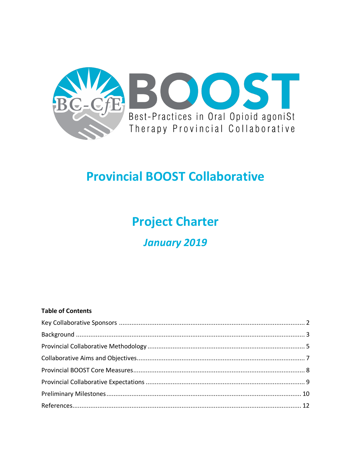

# **Provincial BOOST Collaborative**

# **Project Charter**

# **January 2019**

## **Table of Contents**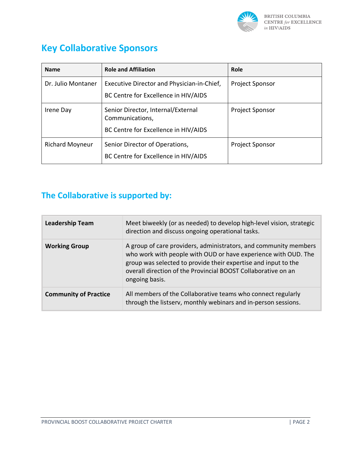

## **Key Collaborative Sponsors**

| <b>Name</b>            | <b>Role and Affiliation</b>                                                                   | Role                   |
|------------------------|-----------------------------------------------------------------------------------------------|------------------------|
| Dr. Julio Montaner     | Executive Director and Physician-in-Chief,<br>BC Centre for Excellence in HIV/AIDS            | <b>Project Sponsor</b> |
| Irene Day              | Senior Director, Internal/External<br>Communications,<br>BC Centre for Excellence in HIV/AIDS | <b>Project Sponsor</b> |
| <b>Richard Moyneur</b> | Senior Director of Operations,<br>BC Centre for Excellence in HIV/AIDS                        | <b>Project Sponsor</b> |

### **The Collaborative is supported by:**

| <b>Leadership Team</b>       | Meet biweekly (or as needed) to develop high-level vision, strategic<br>direction and discuss ongoing operational tasks.                                                                                                                                                                |  |  |
|------------------------------|-----------------------------------------------------------------------------------------------------------------------------------------------------------------------------------------------------------------------------------------------------------------------------------------|--|--|
| <b>Working Group</b>         | A group of care providers, administrators, and community members<br>who work with people with OUD or have experience with OUD. The<br>group was selected to provide their expertise and input to the<br>overall direction of the Provincial BOOST Collaborative on an<br>ongoing basis. |  |  |
| <b>Community of Practice</b> | All members of the Collaborative teams who connect regularly<br>through the listserv, monthly webinars and in-person sessions.                                                                                                                                                          |  |  |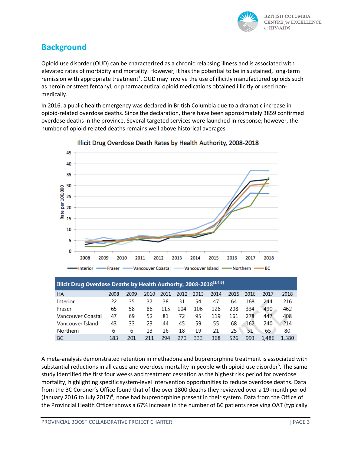

### **Background**

Opioid use disorder (OUD) can be characterized as a chronic relapsing illness and is associated with elevated rates of morbidity and mortality. However, it has the potential to be in sustained, long-term remission with appropriate treatment<sup>1</sup>. OUD may involve the use of illicitly manufactured opioids such as heroin or street fentanyl, or pharmaceutical opioid medications obtained illicitly or used nonmedically.

In 2016, a public health emergency was declared in British Columbia due to a dramatic increase in opioid-related overdose deaths. Since the declaration, there have been approximately 3859 confirmed overdose deaths in the province. Several targeted services were launched in response; however, the number of opioid-related deaths remains well above historical averages.



Illicit Drug Overdose Death Rates by Health Authority, 2008-2018

| Illicit Drug Overdose Deaths by Health Authority, 2008-2018 <sup>[2,4,6]</sup> |      |      |      |      |      |      |      |      |      |       |       |
|--------------------------------------------------------------------------------|------|------|------|------|------|------|------|------|------|-------|-------|
| <b>HA</b>                                                                      | 2008 | 2009 | 2010 | 2011 | 2012 | 2013 | 2014 | 2015 | 2016 | 2017  | 2018  |
| Interior                                                                       | 22   | 35   | 37   | 38   | 31   | 54   | 47   | 64   | 168  | 244   | 216   |
| Fraser                                                                         | 65   | 58   | 86   | 115  | 104  | 106  | 126  | 208  | 334  | 490   | 462   |
| Vancouver Coastal                                                              | 47   | 69   | 52   | 81   | 72   | 95   | 119  | 161  | 278  | 447   | 408   |
| Vancouver Island                                                               | 43   | 33   | 23   | 44   | 45   | 59   | 55   | 68   | 162  | 240   | 214   |
| Northern                                                                       | 6    | 6    | 13   | 16   | 18   | 19   | 21   | 25   | 51   | 65    | 80    |
| <b>BC</b>                                                                      | 183  | 201  | 211  | 294  | 270  | 333  | 368  | 526  | 993  | 1.486 | 1,380 |

A meta-analysis demonstrated retention in methadone and buprenorphine treatment is associated with substantial reductions in all cause and overdose mortality in people with opioid use disorder<sup>5</sup>. The same study identified the first four weeks and treatment cessation as the highest risk period for overdose mortality, highlighting specific system-level intervention opportunities to reduce overdose deaths. Data from the BC Coroner's Office found that of the over 1800 deaths they reviewed over a 19-month period (January 2016 to July 2017)<sup>6</sup>, none had buprenorphine present in their system. Data from the Office of the Provincial Health Officer shows a 67% increase in the number of BC patients receiving OAT (typically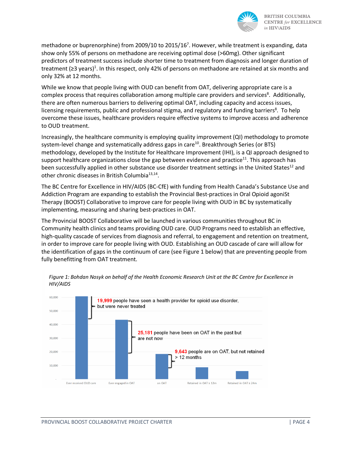

methadone or buprenorphine) from 2009/10 to 2015/16<sup>7</sup>. However, while treatment is expanding, data show only 55% of persons on methadone are receiving optimal dose (>60mg). Other significant predictors of treatment success include shorter time to treatment from diagnosis and longer duration of treatment ( $\geq$ 3 years)<sup>1</sup>. In this respect, only 42% of persons on methadone are retained at six months and only 32% at 12 months.

While we know that people living with OUD can benefit from OAT, delivering appropriate care is a complex process that requires collaboration among multiple care providers and services<sup>8</sup>. Additionally, there are often numerous barriers to delivering optimal OAT, including capacity and access issues, licensing requirements, public and professional stigma, and regulatory and funding barriers<sup>8</sup>. To help overcome these issues, healthcare providers require effective systems to improve access and adherence to OUD treatment.

Increasingly, the healthcare community is employing quality improvement (QI) methodology to promote system-level change and systematically address gaps in care<sup>10</sup>. Breakthrough Series (or BTS) methodology, developed by the Institute for Healthcare Improvement (IHI), is a QI approach designed to support healthcare organizations close the gap between evidence and practice<sup>11</sup>. This approach has been successfully applied in other substance use disorder treatment settings in the United States<sup>12</sup> and other chronic diseases in British Columbia<sup>13,14</sup>.

The BC Centre for Excellence in HIV/AIDS (BC-CfE) with funding from Health Canada's Substance Use and Addiction Program are expanding to establish the Provincial Best-practices in Oral Opioid agoniSt Therapy (BOOST) Collaborative to improve care for people living with OUD in BC by systematically implementing, measuring and sharing best-practices in OAT.

The Provincial BOOST Collaborative will be launched in various communities throughout BC in Community health clinics and teams providing OUD care. OUD Programs need to establish an effective, high-quality cascade of services from diagnosis and referral, to engagement and retention on treatment, in order to improve care for people living with OUD. Establishing an OUD cascade of care will allow for the identification of gaps in the continuum of care (see Figure 1 below) that are preventing people from fully benefitting from OAT treatment.



*Figure 1: Bohdan Nosyk on behalf of the Health Economic Research Unit at the BC Centre for Excellence in HIV/AIDS*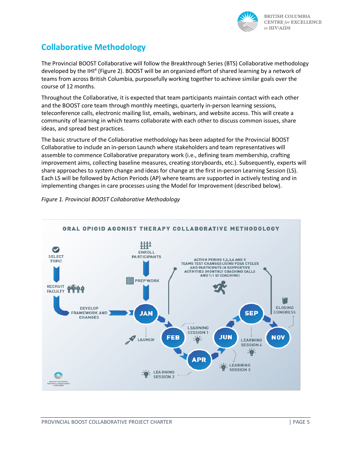

### **Collaborative Methodology**

The Provincial BOOST Collaborative will follow the Breakthrough Series (BTS) Collaborative methodology developed by the IHI4 (Figure 2). BOOST will be an organized effort of shared learning by a network of teams from across British Columbia, purposefully working together to achieve similar goals over the course of 12 months.

Throughout the Collaborative, it is expected that team participants maintain contact with each other and the BOOST core team through monthly meetings, quarterly in-person learning sessions, teleconference calls, electronic mailing list, emails, webinars, and website access. This will create a community of learning in which teams collaborate with each other to discuss common issues, share ideas, and spread best practices.

The basic structure of the Collaborative methodology has been adapted for the Provincial BOOST Collaborative to include an in-person Launch where stakeholders and team representatives will assemble to commence Collaborative preparatory work (i.e., defining team membership, crafting improvement aims, collecting baseline measures, creating storyboards, etc.). Subsequently, experts will share approaches to system change and ideas for change at the first in-person Learning Session (LS). Each LS will be followed by Action Periods (AP) where teams are supported in actively testing and in implementing changes in care processes using the Model for Improvement (described below).

#### *Figure 1. Provincial BOOST Collaborative Methodology*

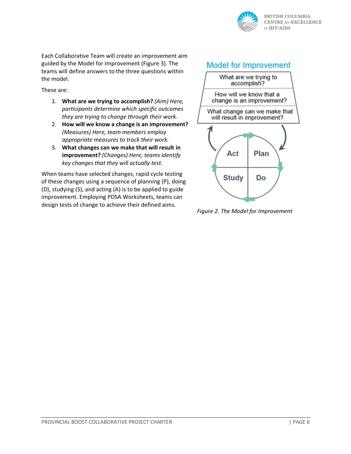

Each Collaborative Team will create an improvement aim guided by the Model for Improvement (Figure 3). The teams will define answers to the three questions within the model.

These are:

- 1. **What are we trying to accomplish?** *(Aim) Here, participants determine which specific outcomes they are trying to change through their work.*
- 2. **How will we know a change is an improvement?** *(Measures) Here, team members employ appropriate measures to track their work.*
- 3. **What changes can we make that will result in improvement?** *(Changes) Here, teams identify key changes that they will actually test.*

When teams have selected changes, rapid cycle testing of these changes using a sequence of planning (P), doing (D), studying (S), and acting (A) is to be applied to guide improvement. Employing PDSA Worksheets, teams can design tests of change to achieve their defined aims.



*Figure 2. The Model for Improvement*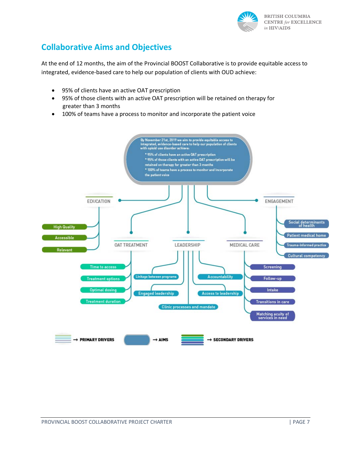

#### **Collaborative Aims and Objectives**

At the end of 12 months, the aim of the Provincial BOOST Collaborative is to provide equitable access to integrated, evidence-based care to help our population of clients with OUD achieve:

- 95% of clients have an active OAT prescription
- 95% of those clients with an active OAT prescription will be retained on therapy for greater than 3 months
- 100% of teams have a process to monitor and incorporate the patient voice

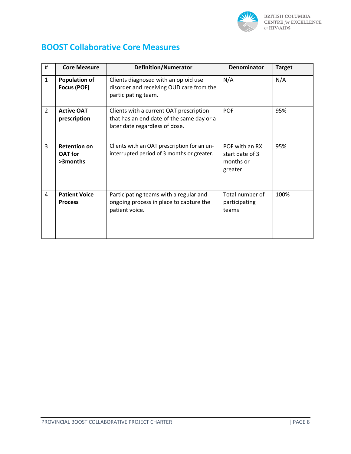

#### **BOOST Collaborative Core Measures**

| #            | <b>Core Measure</b>                               | <b>Definition/Numerator</b>                                                                                            | <b>Denominator</b>                                        | <b>Target</b> |
|--------------|---------------------------------------------------|------------------------------------------------------------------------------------------------------------------------|-----------------------------------------------------------|---------------|
| $\mathbf{1}$ | <b>Population of</b><br>Focus (POF)               | Clients diagnosed with an opioid use<br>disorder and receiving OUD care from the<br>participating team.                | N/A                                                       | N/A           |
| 2            | <b>Active OAT</b><br>prescription                 | Clients with a current OAT prescription<br>that has an end date of the same day or a<br>later date regardless of dose. | <b>POF</b>                                                | 95%           |
| 3            | <b>Retention on</b><br><b>OAT</b> for<br>>3months | Clients with an OAT prescription for an un-<br>interrupted period of 3 months or greater.                              | POF with an RX<br>start date of 3<br>months or<br>greater | 95%           |
| 4            | <b>Patient Voice</b><br><b>Process</b>            | Participating teams with a regular and<br>ongoing process in place to capture the<br>patient voice.                    | Total number of<br>participating<br>teams                 | 100%          |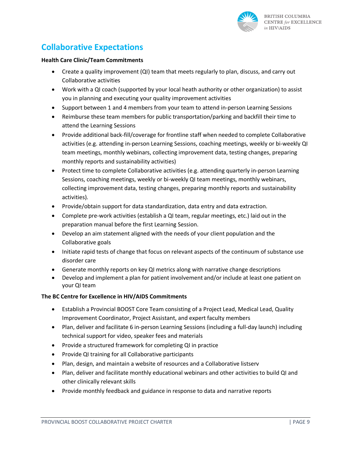

### **Collaborative Expectations**

#### **Health Care Clinic/Team Commitments**

- Create a quality improvement (QI) team that meets regularly to plan, discuss, and carry out Collaborative activities
- Work with a QI coach (supported by your local heath authority or other organization) to assist you in planning and executing your quality improvement activities
- Support between 1 and 4 members from your team to attend in-person Learning Sessions
- Reimburse these team members for public transportation/parking and backfill their time to attend the Learning Sessions
- Provide additional back-fill/coverage for frontline staff when needed to complete Collaborative activities (e.g. attending in-person Learning Sessions, coaching meetings, weekly or bi-weekly QI team meetings, monthly webinars, collecting improvement data, testing changes, preparing monthly reports and sustainability activities)
- Protect time to complete Collaborative activities (e.g. attending quarterly in-person Learning Sessions, coaching meetings, weekly or bi-weekly QI team meetings, monthly webinars, collecting improvement data, testing changes, preparing monthly reports and sustainability activities).
- Provide/obtain support for data standardization, data entry and data extraction.
- Complete pre-work activities (establish a QI team, regular meetings, etc.) laid out in the preparation manual before the first Learning Session.
- Develop an aim statement aligned with the needs of your client population and the Collaborative goals
- Initiate rapid tests of change that focus on relevant aspects of the continuum of substance use disorder care
- Generate monthly reports on key QI metrics along with narrative change descriptions
- Develop and implement a plan for patient involvement and/or include at least one patient on your QI team

#### **The BC Centre for Excellence in HIV/AIDS Commitments**

- Establish a Provincial BOOST Core Team consisting of a Project Lead, Medical Lead, Quality Improvement Coordinator, Project Assistant, and expert faculty members
- Plan, deliver and facilitate 6 in-person Learning Sessions (including a full-day launch) including technical support for video, speaker fees and materials
- Provide a structured framework for completing QI in practice
- Provide QI training for all Collaborative participants
- Plan, design, and maintain a website of resources and a Collaborative listserv
- Plan, deliver and facilitate monthly educational webinars and other activities to build QI and other clinically relevant skills
- Provide monthly feedback and guidance in response to data and narrative reports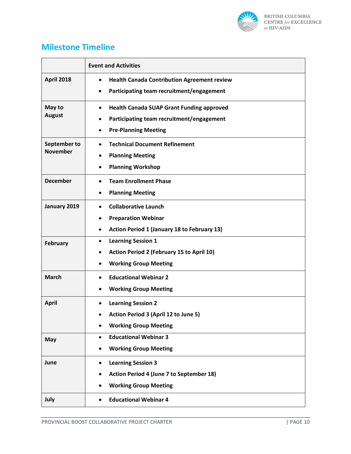

#### **Milestone Timeline**

|                                 | <b>Event and Activities</b>                                     |  |  |
|---------------------------------|-----------------------------------------------------------------|--|--|
| <b>April 2018</b>               | <b>Health Canada Contribution Agreement review</b><br>$\bullet$ |  |  |
|                                 | Participating team recruitment/engagement<br>$\bullet$          |  |  |
| May to<br><b>August</b>         | <b>Health Canada SUAP Grant Funding approved</b><br>$\bullet$   |  |  |
|                                 | Participating team recruitment/engagement<br>$\bullet$          |  |  |
|                                 | <b>Pre-Planning Meeting</b><br>$\bullet$                        |  |  |
| September to<br><b>November</b> | <b>Technical Document Refinement</b><br>$\bullet$               |  |  |
|                                 | <b>Planning Meeting</b>                                         |  |  |
|                                 | <b>Planning Workshop</b><br>$\bullet$                           |  |  |
| <b>December</b>                 | <b>Team Enrollment Phase</b><br>$\bullet$                       |  |  |
|                                 | <b>Planning Meeting</b><br>$\bullet$                            |  |  |
| January 2019                    | <b>Collaborative Launch</b><br>$\bullet$                        |  |  |
|                                 | <b>Preparation Webinar</b>                                      |  |  |
|                                 | <b>Action Period 1 (January 18 to February 13)</b><br>$\bullet$ |  |  |
| <b>February</b>                 | <b>Learning Session 1</b><br>$\bullet$                          |  |  |
|                                 | <b>Action Period 2 (February 15 to April 10)</b>                |  |  |
|                                 | <b>Working Group Meeting</b>                                    |  |  |
| <b>March</b>                    | <b>Educational Webinar 2</b><br>$\bullet$                       |  |  |
|                                 | <b>Working Group Meeting</b><br>$\bullet$                       |  |  |
| <b>April</b>                    | <b>Learning Session 2</b>                                       |  |  |
|                                 | <b>Action Period 3 (April 12 to June 5)</b>                     |  |  |
|                                 | <b>Working Group Meeting</b><br>$\bullet$                       |  |  |
| May                             | <b>Educational Webinar 3</b><br>$\bullet$                       |  |  |
|                                 | <b>Working Group Meeting</b>                                    |  |  |
| June                            | <b>Learning Session 3</b><br>$\bullet$                          |  |  |
|                                 | Action Period 4 (June 7 to September 18)                        |  |  |
|                                 | <b>Working Group Meeting</b>                                    |  |  |
| July                            | <b>Educational Webinar 4</b><br>$\bullet$                       |  |  |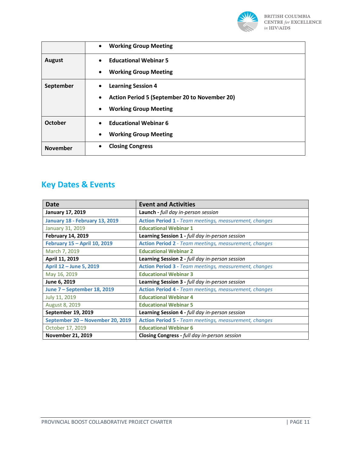

|                 | <b>Working Group Meeting</b><br>$\bullet$                                                                                                        |
|-----------------|--------------------------------------------------------------------------------------------------------------------------------------------------|
| <b>August</b>   | <b>Educational Webinar 5</b><br>$\bullet$<br><b>Working Group Meeting</b><br>$\bullet$                                                           |
| September       | <b>Learning Session 4</b><br>$\bullet$<br><b>Action Period 5 (September 20 to November 20)</b><br>$\bullet$<br><b>Working Group Meeting</b><br>٠ |
| October         | <b>Educational Webinar 6</b><br>$\bullet$<br><b>Working Group Meeting</b><br>$\bullet$                                                           |
| <b>November</b> | <b>Closing Congress</b><br>٠                                                                                                                     |

### **Key Dates & Events**

| Date                                  | <b>Event and Activities</b>                                  |
|---------------------------------------|--------------------------------------------------------------|
| <b>January 17, 2019</b>               | Launch - full day in-person session                          |
| <b>January 18 - February 13, 2019</b> | <b>Action Period 1 - Team meetings, measurement, changes</b> |
| January 31, 2019                      | <b>Educational Webinar 1</b>                                 |
| <b>February 14, 2019</b>              | Learning Session 1 - full day in-person session              |
| February 15 - April 10, 2019          | <b>Action Period 2</b> - Team meetings, measurement, changes |
| March 7, 2019                         | <b>Educational Webinar 2</b>                                 |
| April 11, 2019                        | Learning Session 2 - full day in-person session              |
| April 12 - June 5, 2019               | <b>Action Period 3 - Team meetings, measurement, changes</b> |
| May 16, 2019                          | <b>Educational Webinar 3</b>                                 |
| June 6, 2019                          | Learning Session 3 - full day in-person session              |
| June 7 – September 18, 2019           | <b>Action Period 4 - Team meetings, measurement, changes</b> |
| July 11, 2019                         | <b>Educational Webinar 4</b>                                 |
| August 8, 2019                        | <b>Educational Webinar 5</b>                                 |
| September 19, 2019                    | Learning Session 4 - full day in-person session              |
| September 20 - November 20, 2019      | <b>Action Period 5 - Team meetings, measurement, changes</b> |
| October 17, 2019                      | <b>Educational Webinar 6</b>                                 |
| <b>November 21, 2019</b>              | <b>Closing Congress</b> - full day in-person session         |